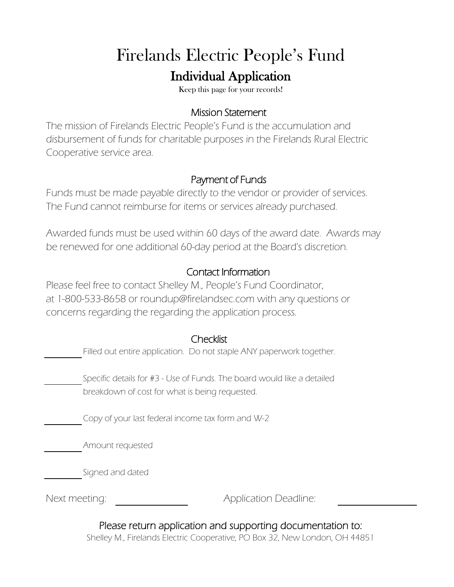# Firelands Electric People's Fund Individual Application

Keep this page for your records!

### Mission Statement

The mission of Firelands Electric People's Fund is the accumulation and disbursement of funds for charitable purposes in the Firelands Rural Electric Cooperative service area.

### Payment of Funds

Funds must be made payable directly to the vendor or provider of services. The Fund cannot reimburse for items or services already purchased.

Awarded funds must be used within 60 days of the award date. Awards may be renewed for one additional 60-day period at the Board's discretion.

## Contact Information

Please feel free to contact Shelley M., People's Fund Coordinator, at 1-800-533-8658 or [roundup@firelandsec.com](mailto:roundup@firelandsec.com) with any questions or concerns regarding the regarding the application process.

### **Checklist**

Filled out entire application. Do not staple ANY paperwork together.

Specific details for #3 - Use of Funds. The board would like a detailed breakdown of cost for what is being requested.

Copy of your last federal income tax form and W-2

Amount requested

Signed and dated

Next meeting: Next meeting: Application Deadline:

Please return application and supporting documentation to:

Shelley M., Firelands Electric Cooperative, PO Box 32, New London, OH 44851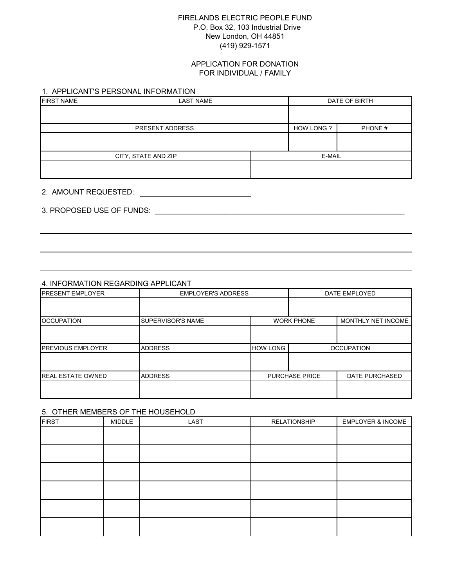#### FIRELANDS ELECTRIC PEOPLE FUND P.O. Box 32, 103 Industrial Drive New London, OH 44851 (419) 929-1571

#### FOR INDIVIDUAL / FAMILY APPLICATION FOR DONATION

#### 1. APPLICANT'S PERSONAL INFORMATION

| <b>FIRST NAME</b> | <b>LAST NAME</b>    |        | DATE OF BIRTH    |        |
|-------------------|---------------------|--------|------------------|--------|
|                   |                     |        |                  |        |
|                   | PRESENT ADDRESS     |        | <b>HOW LONG?</b> | PHONE# |
|                   |                     |        |                  |        |
|                   | CITY, STATE AND ZIP | E-MAIL |                  |        |
|                   |                     |        |                  |        |

### 2. AMOUNT REQUESTED:

#### 3. PROPOSED USE OF FUNDS:  $\blacksquare$

#### 4. INFORMATION REGARDING APPLICANT

| <b>PRESENT EMPLOYER</b>   |                          | <b>EMPLOYER'S ADDRESS</b> |                       | DATE EMPLOYED         |  |
|---------------------------|--------------------------|---------------------------|-----------------------|-----------------------|--|
|                           |                          |                           |                       |                       |  |
| <b>OCCUPATION</b>         | <b>SUPERVISOR'S NAME</b> |                           | <b>WORK PHONE</b>     | MONTHLY NET INCOME    |  |
|                           |                          |                           |                       |                       |  |
| <b>IPREVIOUS EMPLOYER</b> | <b>ADDRESS</b>           | <b>HOW LONG</b>           | <b>OCCUPATION</b>     |                       |  |
|                           |                          |                           |                       |                       |  |
| <b>IREAL ESTATE OWNED</b> | <b>ADDRESS</b>           |                           | <b>PURCHASE PRICE</b> | <b>DATE PURCHASED</b> |  |
|                           |                          |                           |                       |                       |  |

#### 5. OTHER MEMBERS OF THE HOUSEHOLD

| <b>FIRST</b> | MIDDLE | LAST | <b>RELATIONSHIP</b> | EMPLOYER & INCOME |
|--------------|--------|------|---------------------|-------------------|
|              |        |      |                     |                   |
|              |        |      |                     |                   |
|              |        |      |                     |                   |
|              |        |      |                     |                   |
|              |        |      |                     |                   |
|              |        |      |                     |                   |
|              |        |      |                     |                   |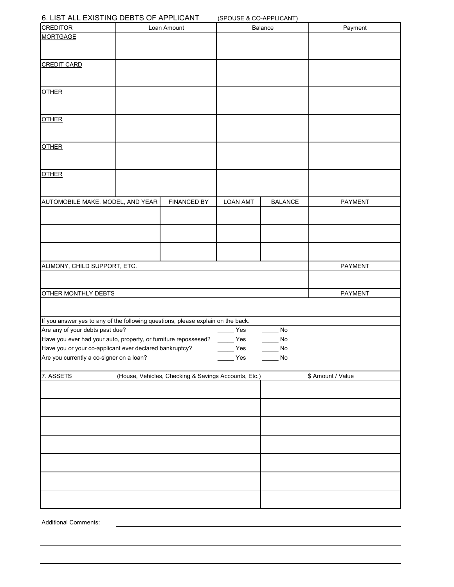| 6. LIST ALL EXISTING DEBTS OF APPLICANT | (SPOUSE & CO-APPLICANT) |
|-----------------------------------------|-------------------------|
|-----------------------------------------|-------------------------|

|                                                                                        | 6. LIST ALL EXISTING DEBTS OF APPLICANT<br>(SPOUSE & CO-APPLICANT) |                    |                          |                |         |
|----------------------------------------------------------------------------------------|--------------------------------------------------------------------|--------------------|--------------------------|----------------|---------|
| <b>CREDITOR</b>                                                                        | Loan Amount                                                        |                    | Balance                  |                | Payment |
| <b>MORTGAGE</b>                                                                        |                                                                    |                    |                          |                |         |
|                                                                                        |                                                                    |                    |                          |                |         |
|                                                                                        |                                                                    |                    |                          |                |         |
| <b>CREDIT CARD</b>                                                                     |                                                                    |                    |                          |                |         |
|                                                                                        |                                                                    |                    |                          |                |         |
|                                                                                        |                                                                    |                    |                          |                |         |
| <b>OTHER</b>                                                                           |                                                                    |                    |                          |                |         |
|                                                                                        |                                                                    |                    |                          |                |         |
|                                                                                        |                                                                    |                    |                          |                |         |
| <b>OTHER</b>                                                                           |                                                                    |                    |                          |                |         |
|                                                                                        |                                                                    |                    |                          |                |         |
|                                                                                        |                                                                    |                    |                          |                |         |
| <b>OTHER</b>                                                                           |                                                                    |                    |                          |                |         |
|                                                                                        |                                                                    |                    |                          |                |         |
|                                                                                        |                                                                    |                    |                          |                |         |
| <b>OTHER</b>                                                                           |                                                                    |                    |                          |                |         |
|                                                                                        |                                                                    |                    |                          |                |         |
|                                                                                        |                                                                    |                    |                          |                |         |
|                                                                                        |                                                                    |                    |                          |                |         |
| AUTOMOBILE MAKE, MODEL, AND YEAR                                                       |                                                                    | <b>FINANCED BY</b> | <b>LOAN AMT</b>          | <b>BALANCE</b> | PAYMENT |
|                                                                                        |                                                                    |                    |                          |                |         |
|                                                                                        |                                                                    |                    |                          |                |         |
|                                                                                        |                                                                    |                    |                          |                |         |
|                                                                                        |                                                                    |                    |                          |                |         |
|                                                                                        |                                                                    |                    |                          |                |         |
|                                                                                        |                                                                    |                    |                          |                |         |
| ALIMONY, CHILD SUPPORT, ETC.                                                           |                                                                    |                    |                          |                | PAYMENT |
|                                                                                        |                                                                    |                    |                          |                |         |
|                                                                                        |                                                                    |                    |                          |                |         |
| OTHER MONTHLY DEBTS                                                                    |                                                                    |                    |                          |                | PAYMENT |
|                                                                                        |                                                                    |                    |                          |                |         |
|                                                                                        |                                                                    |                    |                          |                |         |
| If you answer yes to any of the following questions, please explain on the back.       |                                                                    |                    |                          |                |         |
| Are any of your debts past due?                                                        |                                                                    |                    | Yes                      | No             |         |
| Have you ever had your auto, property, or furniture repossesed?                        |                                                                    |                    | $\rule{1em}{0.15mm}$ Yes | $\mathsf{No}$  |         |
| Have you or your co-applicant ever declared bankruptcy?                                |                                                                    |                    | Yes                      | No             |         |
| Are you currently a co-signer on a loan?                                               |                                                                    |                    | Yes                      | No             |         |
|                                                                                        |                                                                    |                    |                          |                |         |
| 7. ASSETS<br>(House, Vehicles, Checking & Savings Accounts, Etc.)<br>\$ Amount / Value |                                                                    |                    |                          |                |         |
|                                                                                        |                                                                    |                    |                          |                |         |
|                                                                                        |                                                                    |                    |                          |                |         |
|                                                                                        |                                                                    |                    |                          |                |         |
|                                                                                        |                                                                    |                    |                          |                |         |
|                                                                                        |                                                                    |                    |                          |                |         |
|                                                                                        |                                                                    |                    |                          |                |         |
|                                                                                        |                                                                    |                    |                          |                |         |
|                                                                                        |                                                                    |                    |                          |                |         |
|                                                                                        |                                                                    |                    |                          |                |         |
|                                                                                        |                                                                    |                    |                          |                |         |
|                                                                                        |                                                                    |                    |                          |                |         |
|                                                                                        |                                                                    |                    |                          |                |         |
|                                                                                        |                                                                    |                    |                          |                |         |

Additional Comments: